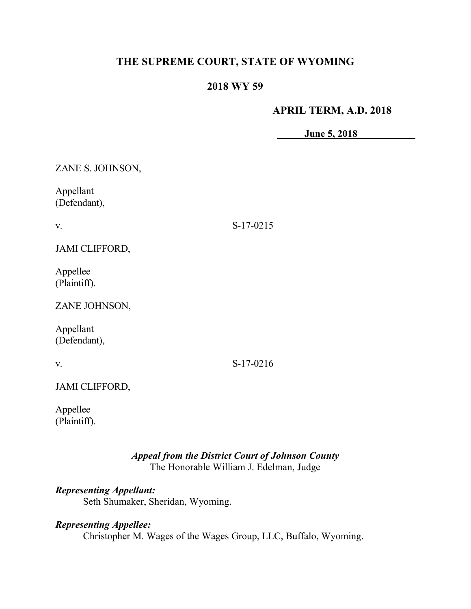# **THE SUPREME COURT, STATE OF WYOMING**

# **2018 WY 59**

## **APRIL TERM, A.D. 2018**

**June 5, 2018**  $\mathcal{L}^{\text{max}}$ 

| ZANE S. JOHNSON,          |             |
|---------------------------|-------------|
| Appellant<br>(Defendant), |             |
| V.                        | S-17-0215   |
| <b>JAMI CLIFFORD,</b>     |             |
| Appellee<br>(Plaintiff).  |             |
| ZANE JOHNSON,             |             |
| Appellant<br>(Defendant), |             |
| V.                        | $S-17-0216$ |
| <b>JAMI CLIFFORD,</b>     |             |
| Appellee<br>(Plaintiff).  |             |
|                           |             |

*Appeal from the District Court of Johnson County* The Honorable William J. Edelman, Judge

# *Representing Appellant:*

Seth Shumaker, Sheridan, Wyoming.

# *Representing Appellee:*

Christopher M. Wages of the Wages Group, LLC, Buffalo, Wyoming.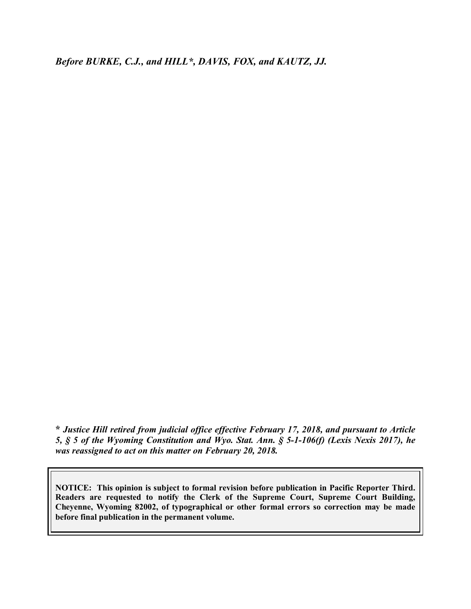*Before BURKE, C.J., and HILL\*, DAVIS, FOX, and KAUTZ, JJ.*

**\*** *Justice Hill retired from judicial office effective February 17, 2018, and pursuant to Article 5, § 5 of the Wyoming Constitution and Wyo. Stat. Ann. § 5-1-106(f) (Lexis Nexis 2017), he was reassigned to act on this matter on February 20, 2018.*

**NOTICE: This opinion is subject to formal revision before publication in Pacific Reporter Third. Readers are requested to notify the Clerk of the Supreme Court, Supreme Court Building, Cheyenne, Wyoming 82002, of typographical or other formal errors so correction may be made before final publication in the permanent volume.**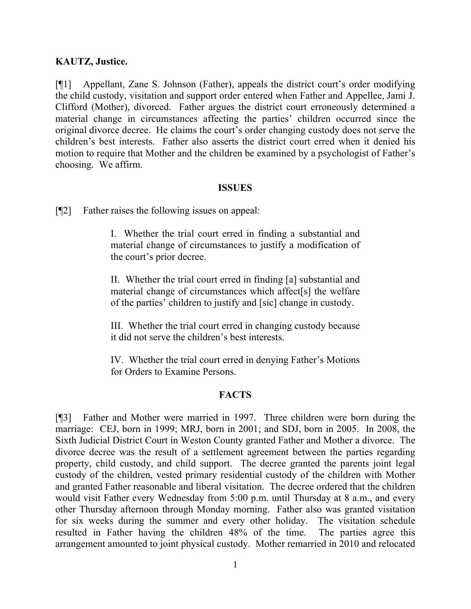### **KAUTZ, Justice.**

[¶1] Appellant, Zane S. Johnson (Father), appeals the district court's order modifying the child custody, visitation and support order entered when Father and Appellee, Jami J. Clifford (Mother), divorced. Father argues the district court erroneously determined a material change in circumstances affecting the parties' children occurred since the original divorce decree. He claims the court's order changing custody does not serve the children's best interests. Father also asserts the district court erred when it denied his motion to require that Mother and the children be examined by a psychologist of Father's choosing. We affirm.

#### **ISSUES**

[¶2] Father raises the following issues on appeal:

I. Whether the trial court erred in finding a substantial and material change of circumstances to justify a modification of the court's prior decree.

II. Whether the trial court erred in finding [a] substantial and material change of circumstances which affect[s] the welfare of the parties' children to justify and [sic] change in custody.

III. Whether the trial court erred in changing custody because it did not serve the children's best interests.

IV. Whether the trial court erred in denying Father's Motions for Orders to Examine Persons.

# **FACTS**

[¶3] Father and Mother were married in 1997. Three children were born during the marriage: CEJ, born in 1999; MRJ, born in 2001; and SDJ, born in 2005. In 2008, the Sixth Judicial District Court in Weston County granted Father and Mother a divorce. The divorce decree was the result of a settlement agreement between the parties regarding property, child custody, and child support. The decree granted the parents joint legal custody of the children, vested primary residential custody of the children with Mother and granted Father reasonable and liberal visitation. The decree ordered that the children would visit Father every Wednesday from 5:00 p.m. until Thursday at 8 a.m., and every other Thursday afternoon through Monday morning. Father also was granted visitation for six weeks during the summer and every other holiday. The visitation schedule resulted in Father having the children 48% of the time. The parties agree this arrangement amounted to joint physical custody. Mother remarried in 2010 and relocated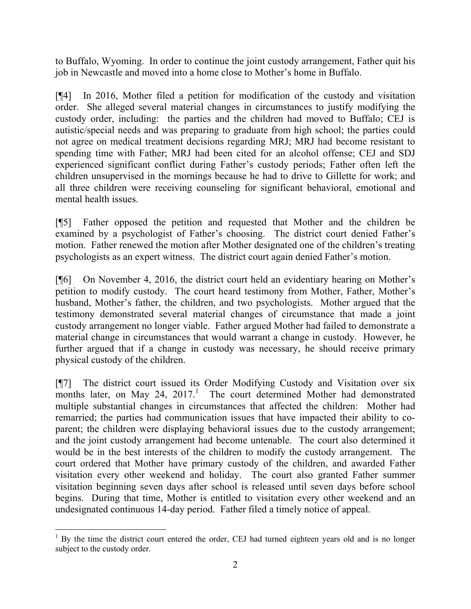to Buffalo, Wyoming. In order to continue the joint custody arrangement, Father quit his job in Newcastle and moved into a home close to Mother's home in Buffalo.

[¶4] In 2016, Mother filed a petition for modification of the custody and visitation order. She alleged several material changes in circumstances to justify modifying the custody order, including: the parties and the children had moved to Buffalo; CEJ is autistic/special needs and was preparing to graduate from high school; the parties could not agree on medical treatment decisions regarding MRJ; MRJ had become resistant to spending time with Father; MRJ had been cited for an alcohol offense; CEJ and SDJ experienced significant conflict during Father's custody periods; Father often left the children unsupervised in the mornings because he had to drive to Gillette for work; and all three children were receiving counseling for significant behavioral, emotional and mental health issues.

[¶5] Father opposed the petition and requested that Mother and the children be examined by a psychologist of Father's choosing. The district court denied Father's motion. Father renewed the motion after Mother designated one of the children's treating psychologists as an expert witness. The district court again denied Father's motion.

[¶6] On November 4, 2016, the district court held an evidentiary hearing on Mother's petition to modify custody. The court heard testimony from Mother, Father, Mother's husband, Mother's father, the children, and two psychologists. Mother argued that the testimony demonstrated several material changes of circumstance that made a joint custody arrangement no longer viable. Father argued Mother had failed to demonstrate a material change in circumstances that would warrant a change in custody. However, he further argued that if a change in custody was necessary, he should receive primary physical custody of the children.

[¶7] The district court issued its Order Modifying Custody and Visitation over six months later, on May 24,  $2017<sup>1</sup>$  The court determined Mother had demonstrated multiple substantial changes in circumstances that affected the children: Mother had remarried; the parties had communication issues that have impacted their ability to coparent; the children were displaying behavioral issues due to the custody arrangement; and the joint custody arrangement had become untenable. The court also determined it would be in the best interests of the children to modify the custody arrangement. The court ordered that Mother have primary custody of the children, and awarded Father visitation every other weekend and holiday. The court also granted Father summer visitation beginning seven days after school is released until seven days before school begins. During that time, Mother is entitled to visitation every other weekend and an undesignated continuous 14-day period. Father filed a timely notice of appeal.

 $<sup>1</sup>$  By the time the district court entered the order, CEJ had turned eighteen years old and is no longer</sup> subject to the custody order.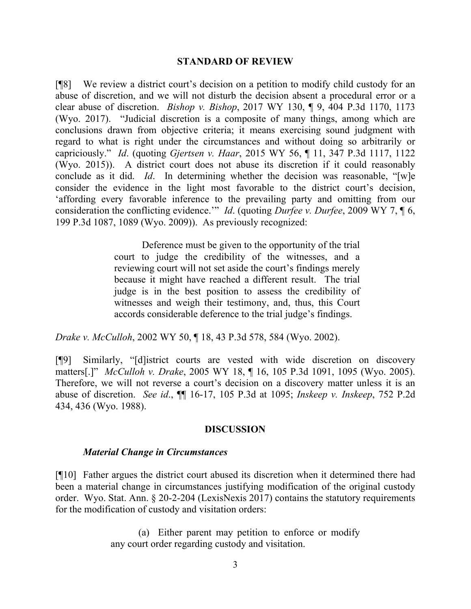#### **STANDARD OF REVIEW**

[¶8] We review a district court's decision on a petition to modify child custody for an abuse of discretion, and we will not disturb the decision absent a procedural error or a clear abuse of discretion. *Bishop v. Bishop*, 2017 WY 130, ¶ 9, 404 P.3d 1170, 1173 (Wyo. 2017). "Judicial discretion is a composite of many things, among which are conclusions drawn from objective criteria; it means exercising sound judgment with regard to what is right under the circumstances and without doing so arbitrarily or capriciously." *Id*. (quoting *Gjertsen v. Haar*, 2015 WY 56, ¶ 11, 347 P.3d 1117, 1122 (Wyo. 2015)). A district court does not abuse its discretion if it could reasonably conclude as it did. *Id*. In determining whether the decision was reasonable, "[w]e consider the evidence in the light most favorable to the district court's decision, 'affording every favorable inference to the prevailing party and omitting from our consideration the conflicting evidence.'" *Id*. (quoting *Durfee v. Durfee*, 2009 WY 7, ¶ 6, 199 P.3d 1087, 1089 (Wyo. 2009)). As previously recognized:

> Deference must be given to the opportunity of the trial court to judge the credibility of the witnesses, and a reviewing court will not set aside the court's findings merely because it might have reached a different result. The trial judge is in the best position to assess the credibility of witnesses and weigh their testimony, and, thus, this Court accords considerable deference to the trial judge's findings.

*Drake v. McCulloh*, 2002 WY 50, ¶ 18, 43 P.3d 578, 584 (Wyo. 2002).

[¶9] Similarly, "[d]istrict courts are vested with wide discretion on discovery matters[.]" *McCulloh v. Drake*, 2005 WY 18, ¶ 16, 105 P.3d 1091, 1095 (Wyo. 2005). Therefore, we will not reverse a court's decision on a discovery matter unless it is an abuse of discretion. *See id*., ¶¶ 16-17, 105 P.3d at 1095; *Inskeep v. Inskeep*, 752 P.2d 434, 436 (Wyo. 1988).

#### **DISCUSSION**

#### *Material Change in Circumstances*

[¶10] Father argues the district court abused its discretion when it determined there had been a material change in circumstances justifying modification of the original custody order. Wyo. Stat. Ann. § 20-2-204 (LexisNexis 2017) contains the statutory requirements for the modification of custody and visitation orders:

> (a) Either parent may petition to enforce or modify any court order regarding custody and visitation.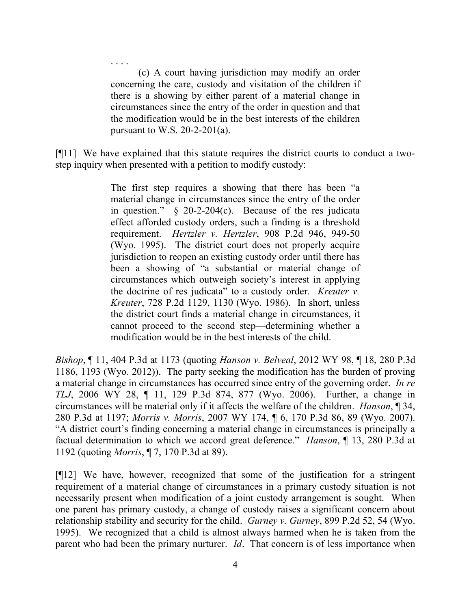. . . . (c) A court having jurisdiction may modify an order concerning the care, custody and visitation of the children if there is a showing by either parent of a material change in circumstances since the entry of the order in question and that the modification would be in the best interests of the children pursuant to W.S.  $20-2-201(a)$ .

[¶11] We have explained that this statute requires the district courts to conduct a twostep inquiry when presented with a petition to modify custody:

> The first step requires a showing that there has been "a material change in circumstances since the entry of the order in question." § 20-2-204(c). Because of the res judicata effect afforded custody orders, such a finding is a threshold requirement. *Hertzler v. Hertzler*, 908 P.2d 946, 949-50 (Wyo. 1995). The district court does not properly acquire jurisdiction to reopen an existing custody order until there has been a showing of "a substantial or material change of circumstances which outweigh society's interest in applying the doctrine of res judicata" to a custody order. *Kreuter v. Kreuter*, 728 P.2d 1129, 1130 (Wyo. 1986). In short, unless the district court finds a material change in circumstances, it cannot proceed to the second step—determining whether a modification would be in the best interests of the child.

*Bishop*, ¶ 11, 404 P.3d at 1173 (quoting *Hanson v. Belveal*, 2012 WY 98, ¶ 18, 280 P.3d 1186, 1193 (Wyo. 2012)). The party seeking the modification has the burden of proving a material change in circumstances has occurred since entry of the governing order. *In re TLJ*, 2006 WY 28, ¶ 11, 129 P.3d 874, 877 (Wyo. 2006). Further, a change in circumstances will be material only if it affects the welfare of the children. *Hanson*, ¶ 34, 280 P.3d at 1197; *Morris v. Morris*, 2007 WY 174, ¶ 6, 170 P.3d 86, 89 (Wyo. 2007). "A district court's finding concerning a material change in circumstances is principally a factual determination to which we accord great deference." *Hanson*, ¶ 13, 280 P.3d at 1192 (quoting *Morris*, ¶ 7, 170 P.3d at 89).

[¶12] We have, however, recognized that some of the justification for a stringent requirement of a material change of circumstances in a primary custody situation is not necessarily present when modification of a joint custody arrangement is sought. When one parent has primary custody, a change of custody raises a significant concern about relationship stability and security for the child. *Gurney v. Gurney*, 899 P.2d 52, 54 (Wyo. 1995). We recognized that a child is almost always harmed when he is taken from the parent who had been the primary nurturer. *Id*. That concern is of less importance when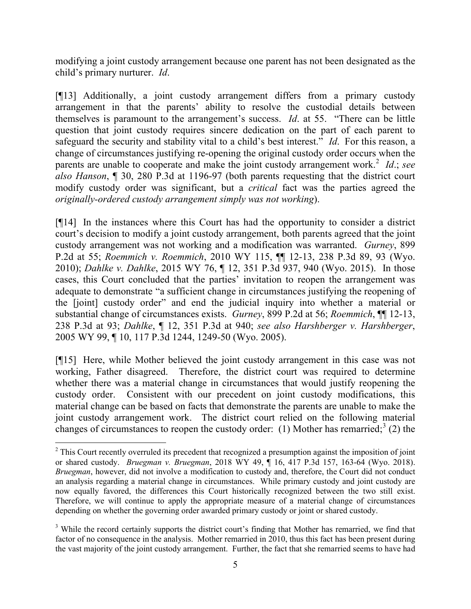modifying a joint custody arrangement because one parent has not been designated as the child's primary nurturer. *Id*.

[¶13] Additionally, a joint custody arrangement differs from a primary custody arrangement in that the parents' ability to resolve the custodial details between themselves is paramount to the arrangement's success. *Id*. at 55. "There can be little question that joint custody requires sincere dedication on the part of each parent to safeguard the security and stability vital to a child's best interest." *Id*. For this reason, a change of circumstances justifying re-opening the original custody order occurs when the parents are unable to cooperate and make the joint custody arrangement work.<sup>2</sup> Id.; see *also Hanson*, ¶ 30, 280 P.3d at 1196-97 (both parents requesting that the district court modify custody order was significant, but a *critical* fact was the parties agreed the *originally-ordered custody arrangement simply was not working*).

[¶14] In the instances where this Court has had the opportunity to consider a district court's decision to modify a joint custody arrangement, both parents agreed that the joint custody arrangement was not working and a modification was warranted. *Gurney*, 899 P.2d at 55; *Roemmich v. Roemmich*, 2010 WY 115, ¶¶ 12-13, 238 P.3d 89, 93 (Wyo. 2010); *Dahlke v. Dahlke*, 2015 WY 76, ¶ 12, 351 P.3d 937, 940 (Wyo. 2015). In those cases, this Court concluded that the parties' invitation to reopen the arrangement was adequate to demonstrate "a sufficient change in circumstances justifying the reopening of the [joint] custody order" and end the judicial inquiry into whether a material or substantial change of circumstances exists. *Gurney*, 899 P.2d at 56; *Roemmich*, ¶¶ 12-13, 238 P.3d at 93; *Dahlke*, ¶ 12, 351 P.3d at 940; *see also Harshberger v. Harshberger*, 2005 WY 99, ¶ 10, 117 P.3d 1244, 1249-50 (Wyo. 2005).

[¶15] Here, while Mother believed the joint custody arrangement in this case was not working, Father disagreed. Therefore, the district court was required to determine whether there was a material change in circumstances that would justify reopening the custody order. Consistent with our precedent on joint custody modifications, this material change can be based on facts that demonstrate the parents are unable to make the joint custody arrangement work. The district court relied on the following material changes of circumstances to reopen the custody order: (1) Mother has remarried;<sup>3</sup> (2) the

l

<sup>&</sup>lt;sup>2</sup> This Court recently overruled its precedent that recognized a presumption against the imposition of joint or shared custody. *Bruegman v. Bruegman*, 2018 WY 49, ¶ 16, 417 P.3d 157, 163-64 (Wyo. 2018). *Bruegman*, however, did not involve a modification to custody and, therefore, the Court did not conduct an analysis regarding a material change in circumstances. While primary custody and joint custody are now equally favored, the differences this Court historically recognized between the two still exist. Therefore, we will continue to apply the appropriate measure of a material change of circumstances depending on whether the governing order awarded primary custody or joint or shared custody.

<sup>&</sup>lt;sup>3</sup> While the record certainly supports the district court's finding that Mother has remarried, we find that factor of no consequence in the analysis. Mother remarried in 2010, thus this fact has been present during the vast majority of the joint custody arrangement. Further, the fact that she remarried seems to have had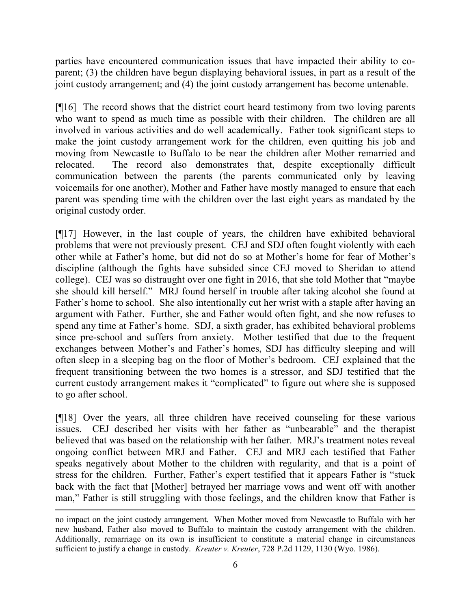parties have encountered communication issues that have impacted their ability to coparent; (3) the children have begun displaying behavioral issues, in part as a result of the joint custody arrangement; and (4) the joint custody arrangement has become untenable.

[¶16] The record shows that the district court heard testimony from two loving parents who want to spend as much time as possible with their children. The children are all involved in various activities and do well academically. Father took significant steps to make the joint custody arrangement work for the children, even quitting his job and moving from Newcastle to Buffalo to be near the children after Mother remarried and relocated. The record also demonstrates that, despite exceptionally difficult communication between the parents (the parents communicated only by leaving voicemails for one another), Mother and Father have mostly managed to ensure that each parent was spending time with the children over the last eight years as mandated by the original custody order.

[¶17] However, in the last couple of years, the children have exhibited behavioral problems that were not previously present. CEJ and SDJ often fought violently with each other while at Father's home, but did not do so at Mother's home for fear of Mother's discipline (although the fights have subsided since CEJ moved to Sheridan to attend college). CEJ was so distraught over one fight in 2016, that she told Mother that "maybe she should kill herself." MRJ found herself in trouble after taking alcohol she found at Father's home to school. She also intentionally cut her wrist with a staple after having an argument with Father. Further, she and Father would often fight, and she now refuses to spend any time at Father's home. SDJ, a sixth grader, has exhibited behavioral problems since pre-school and suffers from anxiety. Mother testified that due to the frequent exchanges between Mother's and Father's homes, SDJ has difficulty sleeping and will often sleep in a sleeping bag on the floor of Mother's bedroom. CEJ explained that the frequent transitioning between the two homes is a stressor, and SDJ testified that the current custody arrangement makes it "complicated" to figure out where she is supposed to go after school.

[¶18] Over the years, all three children have received counseling for these various issues. CEJ described her visits with her father as "unbearable" and the therapist believed that was based on the relationship with her father. MRJ's treatment notes reveal ongoing conflict between MRJ and Father. CEJ and MRJ each testified that Father speaks negatively about Mother to the children with regularity, and that is a point of stress for the children. Further, Father's expert testified that it appears Father is "stuck back with the fact that [Mother] betrayed her marriage vows and went off with another man," Father is still struggling with those feelings, and the children know that Father is

l

no impact on the joint custody arrangement. When Mother moved from Newcastle to Buffalo with her new husband, Father also moved to Buffalo to maintain the custody arrangement with the children. Additionally, remarriage on its own is insufficient to constitute a material change in circumstances sufficient to justify a change in custody. *Kreuter v. Kreuter*, 728 P.2d 1129, 1130 (Wyo. 1986).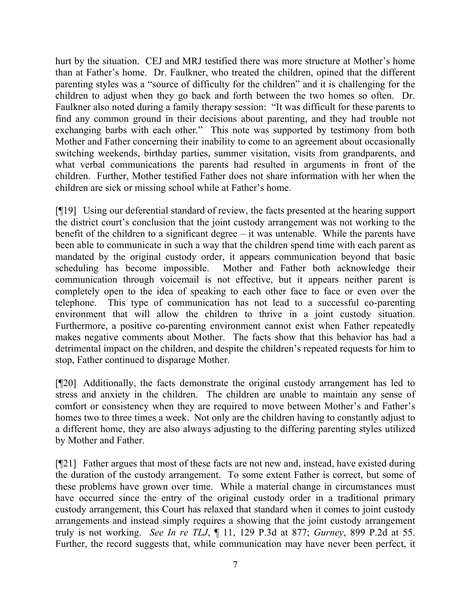hurt by the situation. CEJ and MRJ testified there was more structure at Mother's home than at Father's home. Dr. Faulkner, who treated the children, opined that the different parenting styles was a "source of difficulty for the children" and it is challenging for the children to adjust when they go back and forth between the two homes so often. Dr. Faulkner also noted during a family therapy session: "It was difficult for these parents to find any common ground in their decisions about parenting, and they had trouble not exchanging barbs with each other." This note was supported by testimony from both Mother and Father concerning their inability to come to an agreement about occasionally switching weekends, birthday parties, summer visitation, visits from grandparents, and what verbal communications the parents had resulted in arguments in front of the children. Further, Mother testified Father does not share information with her when the children are sick or missing school while at Father's home.

[¶19] Using our deferential standard of review, the facts presented at the hearing support the district court's conclusion that the joint custody arrangement was not working to the benefit of the children to a significant degree – it was untenable. While the parents have been able to communicate in such a way that the children spend time with each parent as mandated by the original custody order, it appears communication beyond that basic scheduling has become impossible. Mother and Father both acknowledge their communication through voicemail is not effective, but it appears neither parent is completely open to the idea of speaking to each other face to face or even over the telephone. This type of communication has not lead to a successful co-parenting environment that will allow the children to thrive in a joint custody situation. Furthermore, a positive co-parenting environment cannot exist when Father repeatedly makes negative comments about Mother. The facts show that this behavior has had a detrimental impact on the children, and despite the children's repeated requests for him to stop, Father continued to disparage Mother.

[¶20] Additionally, the facts demonstrate the original custody arrangement has led to stress and anxiety in the children. The children are unable to maintain any sense of comfort or consistency when they are required to move between Mother's and Father's homes two to three times a week. Not only are the children having to constantly adjust to a different home, they are also always adjusting to the differing parenting styles utilized by Mother and Father.

[¶21] Father argues that most of these facts are not new and, instead, have existed during the duration of the custody arrangement. To some extent Father is correct, but some of these problems have grown over time. While a material change in circumstances must have occurred since the entry of the original custody order in a traditional primary custody arrangement, this Court has relaxed that standard when it comes to joint custody arrangements and instead simply requires a showing that the joint custody arrangement truly is not working. *See In re TLJ*, ¶ 11, 129 P.3d at 877; *Gurney*, 899 P.2d at 55. Further, the record suggests that, while communication may have never been perfect, it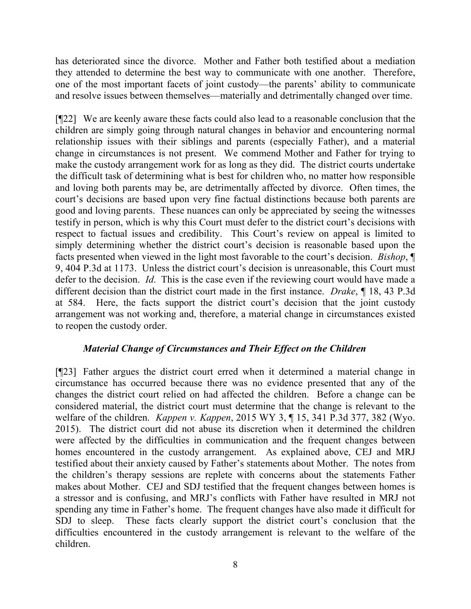has deteriorated since the divorce. Mother and Father both testified about a mediation they attended to determine the best way to communicate with one another. Therefore, one of the most important facets of joint custody—the parents' ability to communicate and resolve issues between themselves—materially and detrimentally changed over time.

[¶22] We are keenly aware these facts could also lead to a reasonable conclusion that the children are simply going through natural changes in behavior and encountering normal relationship issues with their siblings and parents (especially Father), and a material change in circumstances is not present. We commend Mother and Father for trying to make the custody arrangement work for as long as they did. The district courts undertake the difficult task of determining what is best for children who, no matter how responsible and loving both parents may be, are detrimentally affected by divorce. Often times, the court's decisions are based upon very fine factual distinctions because both parents are good and loving parents. These nuances can only be appreciated by seeing the witnesses testify in person, which is why this Court must defer to the district court's decisions with respect to factual issues and credibility. This Court's review on appeal is limited to simply determining whether the district court's decision is reasonable based upon the facts presented when viewed in the light most favorable to the court's decision. *Bishop*, ¶ 9, 404 P.3d at 1173. Unless the district court's decision is unreasonable, this Court must defer to the decision. *Id*. This is the case even if the reviewing court would have made a different decision than the district court made in the first instance. *Drake*, ¶ 18, 43 P.3d at 584. Here, the facts support the district court's decision that the joint custody arrangement was not working and, therefore, a material change in circumstances existed to reopen the custody order.

# *Material Change of Circumstances and Their Effect on the Children*

[¶23] Father argues the district court erred when it determined a material change in circumstance has occurred because there was no evidence presented that any of the changes the district court relied on had affected the children. Before a change can be considered material, the district court must determine that the change is relevant to the welfare of the children. *Kappen v. Kappen*, 2015 WY 3, ¶ 15, 341 P.3d 377, 382 (Wyo. 2015). The district court did not abuse its discretion when it determined the children were affected by the difficulties in communication and the frequent changes between homes encountered in the custody arrangement. As explained above, CEJ and MRJ testified about their anxiety caused by Father's statements about Mother. The notes from the children's therapy sessions are replete with concerns about the statements Father makes about Mother. CEJ and SDJ testified that the frequent changes between homes is a stressor and is confusing, and MRJ's conflicts with Father have resulted in MRJ not spending any time in Father's home. The frequent changes have also made it difficult for SDJ to sleep. These facts clearly support the district court's conclusion that the difficulties encountered in the custody arrangement is relevant to the welfare of the children.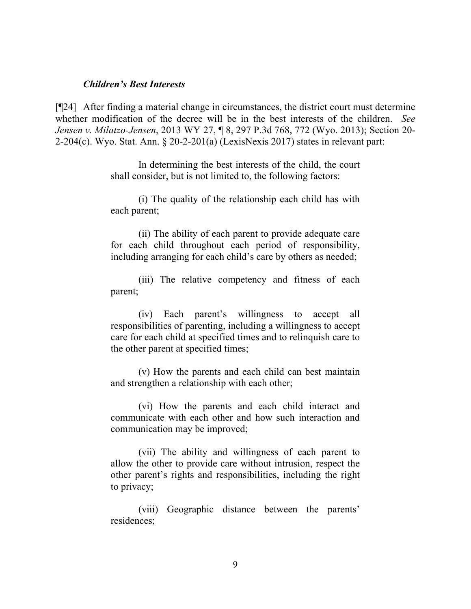#### *Children's Best Interests*

[¶24] After finding a material change in circumstances, the district court must determine whether modification of the decree will be in the best interests of the children. *See Jensen v. Milatzo-Jensen*, 2013 WY 27, ¶ 8, 297 P.3d 768, 772 (Wyo. 2013); Section 20- 2-204(c). Wyo. Stat. Ann. § 20-2-201(a) (LexisNexis 2017) states in relevant part:

> In determining the best interests of the child, the court shall consider, but is not limited to, the following factors:

> (i) The quality of the relationship each child has with each parent;

> (ii) The ability of each parent to provide adequate care for each child throughout each period of responsibility, including arranging for each child's care by others as needed;

> (iii) The relative competency and fitness of each parent;

> (iv) Each parent's willingness to accept all responsibilities of parenting, including a willingness to accept care for each child at specified times and to relinquish care to the other parent at specified times;

> (v) How the parents and each child can best maintain and strengthen a relationship with each other;

> (vi) How the parents and each child interact and communicate with each other and how such interaction and communication may be improved;

> (vii) The ability and willingness of each parent to allow the other to provide care without intrusion, respect the other parent's rights and responsibilities, including the right to privacy;

> (viii) Geographic distance between the parents' residences;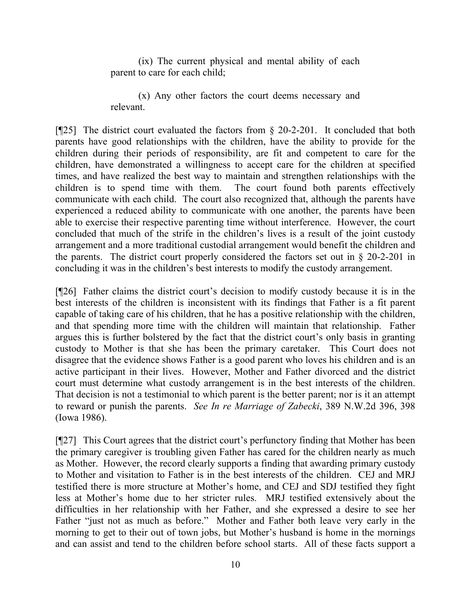(ix) The current physical and mental ability of each parent to care for each child;

(x) Any other factors the court deems necessary and relevant.

[¶25] The district court evaluated the factors from § 20-2-201. It concluded that both parents have good relationships with the children, have the ability to provide for the children during their periods of responsibility, are fit and competent to care for the children, have demonstrated a willingness to accept care for the children at specified times, and have realized the best way to maintain and strengthen relationships with the children is to spend time with them. The court found both parents effectively communicate with each child. The court also recognized that, although the parents have experienced a reduced ability to communicate with one another, the parents have been able to exercise their respective parenting time without interference. However, the court concluded that much of the strife in the children's lives is a result of the joint custody arrangement and a more traditional custodial arrangement would benefit the children and the parents. The district court properly considered the factors set out in § 20-2-201 in concluding it was in the children's best interests to modify the custody arrangement.

[¶26] Father claims the district court's decision to modify custody because it is in the best interests of the children is inconsistent with its findings that Father is a fit parent capable of taking care of his children, that he has a positive relationship with the children, and that spending more time with the children will maintain that relationship. Father argues this is further bolstered by the fact that the district court's only basis in granting custody to Mother is that she has been the primary caretaker. This Court does not disagree that the evidence shows Father is a good parent who loves his children and is an active participant in their lives. However, Mother and Father divorced and the district court must determine what custody arrangement is in the best interests of the children. That decision is not a testimonial to which parent is the better parent; nor is it an attempt to reward or punish the parents. *See In re Marriage of Zabecki*, 389 N.W.2d 396, 398 (Iowa 1986).

[¶27] This Court agrees that the district court's perfunctory finding that Mother has been the primary caregiver is troubling given Father has cared for the children nearly as much as Mother. However, the record clearly supports a finding that awarding primary custody to Mother and visitation to Father is in the best interests of the children. CEJ and MRJ testified there is more structure at Mother's home, and CEJ and SDJ testified they fight less at Mother's home due to her stricter rules. MRJ testified extensively about the difficulties in her relationship with her Father, and she expressed a desire to see her Father "just not as much as before." Mother and Father both leave very early in the morning to get to their out of town jobs, but Mother's husband is home in the mornings and can assist and tend to the children before school starts. All of these facts support a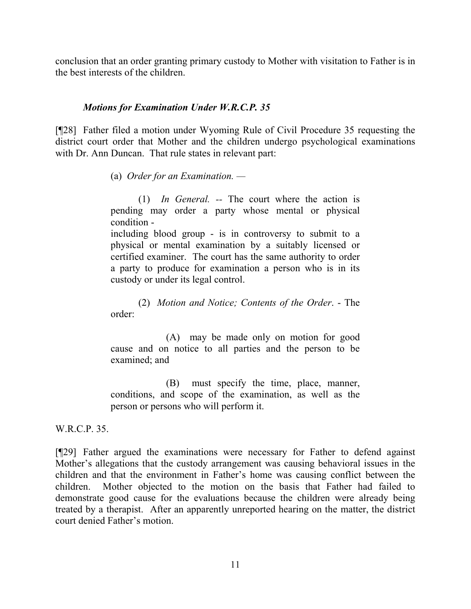conclusion that an order granting primary custody to Mother with visitation to Father is in the best interests of the children.

## *Motions for Examination Under W.R.C.P. 35*

[¶28] Father filed a motion under Wyoming Rule of Civil Procedure 35 requesting the district court order that Mother and the children undergo psychological examinations with Dr. Ann Duncan. That rule states in relevant part:

(a) *Order for an Examination. —*

(1) *In General. --* The court where the action is pending may order a party whose mental or physical condition including blood group - is in controversy to submit to a physical or mental examination by a suitably licensed or certified examiner. The court has the same authority to order a party to produce for examination a person who is in its custody or under its legal control.

(2) *Motion and Notice; Contents of the Order*. - The order:

(A) may be made only on motion for good cause and on notice to all parties and the person to be examined; and

(B) must specify the time, place, manner, conditions, and scope of the examination, as well as the person or persons who will perform it.

 $WRCP$  35.

[¶29] Father argued the examinations were necessary for Father to defend against Mother's allegations that the custody arrangement was causing behavioral issues in the children and that the environment in Father's home was causing conflict between the children. Mother objected to the motion on the basis that Father had failed to demonstrate good cause for the evaluations because the children were already being treated by a therapist. After an apparently unreported hearing on the matter, the district court denied Father's motion.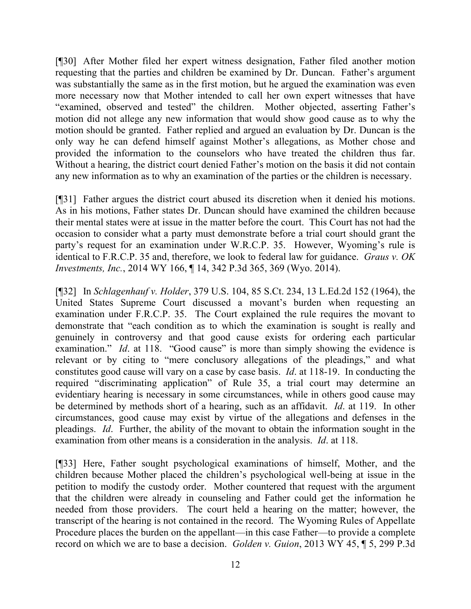[¶30] After Mother filed her expert witness designation, Father filed another motion requesting that the parties and children be examined by Dr. Duncan. Father's argument was substantially the same as in the first motion, but he argued the examination was even more necessary now that Mother intended to call her own expert witnesses that have "examined, observed and tested" the children. Mother objected, asserting Father's motion did not allege any new information that would show good cause as to why the motion should be granted. Father replied and argued an evaluation by Dr. Duncan is the only way he can defend himself against Mother's allegations, as Mother chose and provided the information to the counselors who have treated the children thus far. Without a hearing, the district court denied Father's motion on the basis it did not contain any new information as to why an examination of the parties or the children is necessary.

[¶31] Father argues the district court abused its discretion when it denied his motions. As in his motions, Father states Dr. Duncan should have examined the children because their mental states were at issue in the matter before the court. This Court has not had the occasion to consider what a party must demonstrate before a trial court should grant the party's request for an examination under W.R.C.P. 35. However, Wyoming's rule is identical to F.R.C.P. 35 and, therefore, we look to federal law for guidance. *Graus v. OK Investments, Inc.*, 2014 WY 166, ¶ 14, 342 P.3d 365, 369 (Wyo. 2014).

[¶32] In *Schlagenhauf v. Holder*, 379 U.S. 104, 85 S.Ct. 234, 13 L.Ed.2d 152 (1964), the United States Supreme Court discussed a movant's burden when requesting an examination under F.R.C.P. 35. The Court explained the rule requires the movant to demonstrate that "each condition as to which the examination is sought is really and genuinely in controversy and that good cause exists for ordering each particular examination." *Id.* at 118. "Good cause" is more than simply showing the evidence is relevant or by citing to "mere conclusory allegations of the pleadings," and what constitutes good cause will vary on a case by case basis. *Id*. at 118-19. In conducting the required "discriminating application" of Rule 35, a trial court may determine an evidentiary hearing is necessary in some circumstances, while in others good cause may be determined by methods short of a hearing, such as an affidavit. *Id*. at 119. In other circumstances, good cause may exist by virtue of the allegations and defenses in the pleadings. *Id*. Further, the ability of the movant to obtain the information sought in the examination from other means is a consideration in the analysis. *Id*. at 118.

[¶33] Here, Father sought psychological examinations of himself, Mother, and the children because Mother placed the children's psychological well-being at issue in the petition to modify the custody order. Mother countered that request with the argument that the children were already in counseling and Father could get the information he needed from those providers. The court held a hearing on the matter; however, the transcript of the hearing is not contained in the record. The Wyoming Rules of Appellate Procedure places the burden on the appellant—in this case Father—to provide a complete record on which we are to base a decision. *Golden v. Guion*, 2013 WY 45, ¶ 5, 299 P.3d